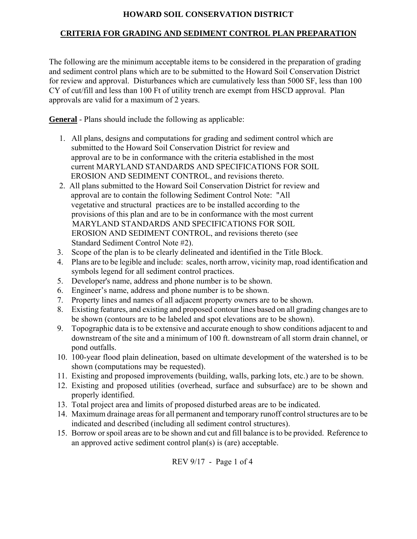## **HOWARD SOIL CONSERVATION DISTRICT**

## **CRITERIA FOR GRADING AND SEDIMENT CONTROL PLAN PREPARATION**

The following are the minimum acceptable items to be considered in the preparation of grading and sediment control plans which are to be submitted to the Howard Soil Conservation District for review and approval. Disturbances which are cumulatively less than 5000 SF, less than 100 CY of cut/fill and less than 100 Ft of utility trench are exempt from HSCD approval. Plan approvals are valid for a maximum of 2 years.

**General** - Plans should include the following as applicable:

- 1. All plans, designs and computations for grading and sediment control which are submitted to the Howard Soil Conservation District for review and approval are to be in conformance with the criteria established in the most current MARYLAND STANDARDS AND SPECIFICATIONS FOR SOIL EROSION AND SEDIMENT CONTROL, and revisions thereto.
- 2. All plans submitted to the Howard Soil Conservation District for review and approval are to contain the following Sediment Control Note: "All vegetative and structural practices are to be installed according to the provisions of this plan and are to be in conformance with the most current MARYLAND STANDARDS AND SPECIFICATIONS FOR SOIL EROSION AND SEDIMENT CONTROL, and revisions thereto (see Standard Sediment Control Note #2).
- 3. Scope of the plan is to be clearly delineated and identified in the Title Block.
- 4. Plans are to be legible and include: scales, north arrow, vicinity map, road identification and symbols legend for all sediment control practices.
- 5. Developer's name, address and phone number is to be shown.
- 6. Engineer's name, address and phone number is to be shown.
- 7. Property lines and names of all adjacent property owners are to be shown.
- 8. Existing features, and existing and proposed contour lines based on all grading changes are to be shown (contours are to be labeled and spot elevations are to be shown).
- 9. Topographic data is to be extensive and accurate enough to show conditions adjacent to and downstream of the site and a minimum of 100 ft. downstream of all storm drain channel, or pond outfalls.
- 10. 100-year flood plain delineation, based on ultimate development of the watershed is to be shown (computations may be requested).
- 11. Existing and proposed improvements (building, walls, parking lots, etc.) are to be shown.
- 12. Existing and proposed utilities (overhead, surface and subsurface) are to be shown and properly identified.
- 13. Total project area and limits of proposed disturbed areas are to be indicated.
- 14. Maximum drainage areas for all permanent and temporary runoff control structures are to be indicated and described (including all sediment control structures).
- 15. Borrow or spoil areas are to be shown and cut and fill balance is to be provided. Reference to an approved active sediment control plan(s) is (are) acceptable.

REV 9/17 - Page 1 of 4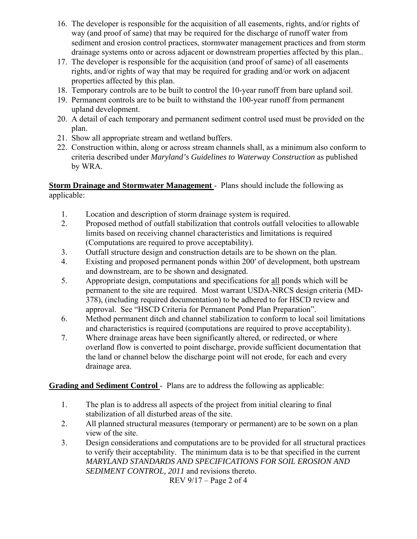- 16. The developer is responsible for the acquisition of all easements, rights, and/or rights of way (and proof of same) that may be required for the discharge of runoff water from sediment and erosion control practices, stormwater management practices and from storm drainage systems onto or across adjacent or downstream properties affected by this plan..
- 17. The developer is responsible for the acquisition (and proof of same) of all easements rights, and/or rights of way that may be required for grading and/or work on adjacent properties affected by this plan.
- 18. Temporary controls are to be built to control the 10-year runoff from bare upland soil.
- 19. Permanent controls are to be built to withstand the 100-year runoff from permanent upland development.
- 20. A detail of each temporary and permanent sediment control used must be provided on the plan.
- 21. Show all appropriate stream and wetland buffers.
- 22. Construction within, along or across stream channels shall, as a minimum also conform to criteria described under *Maryland's Guidelines to Waterway Construction* as published by WRA.

**Storm Drainage and Stormwater Management** - Plans should include the following as applicable:

- 1. Location and description of storm drainage system is required.
- 2. Proposed method of outfall stabilization that controls outfall velocities to allowable limits based on receiving channel characteristics and limitations is required (Computations are required to prove acceptability).
- 3. Outfall structure design and construction details are to be shown on the plan.
- 4. Existing and proposed permanent ponds within 200′ of development, both upstream and downstream, are to be shown and designated.
- 5. Appropriate design, computations and specifications for all ponds which will be permanent to the site are required. Most warrant USDA-NRCS design criteria (MD-378), (including required documentation) to be adhered to for HSCD review and approval. See "HSCD Criteria for Permanent Pond Plan Preparation".
- 6. Method permanent ditch and channel stabilization to conform to local soil limitations and characteristics is required (computations are required to prove acceptability).
- 7. Where drainage areas have been significantly altered, or redirected, or where overland flow is converted to point discharge, provide sufficient documentation that the land or channel below the discharge point will not erode, for each and every drainage area.

## **Grading and Sediment Control - Plans are to address the following as applicable:**

- 1. The plan is to address all aspects of the project from initial clearing to final stabilization of all disturbed areas of the site.
- 2. All planned structural measures (temporary or permanent) are to be sown on a plan view of the site.
- 3. Design considerations and computations are to be provided for all structural practices to verify their acceptability. The minimum data is to be that specified in the current *MARYLAND STANDARDS AND SPECIFICATIONS FOR SOIL EROSION AND SEDIMENT CONTROL, 2011* and revisions thereto. REV 9/17 – Page 2 of 4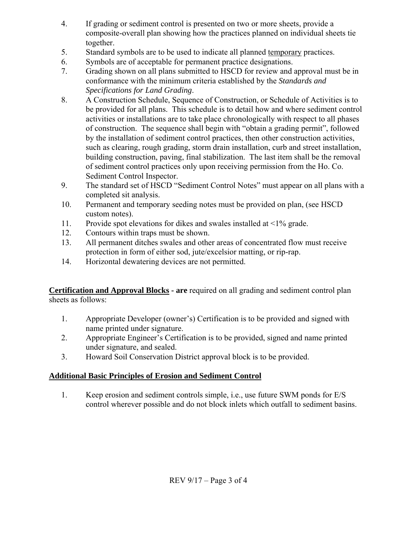- 4. If grading or sediment control is presented on two or more sheets, provide a composite-overall plan showing how the practices planned on individual sheets tie together.
- 5. Standard symbols are to be used to indicate all planned temporary practices.
- 6. Symbols are of acceptable for permanent practice designations.
- 7. Grading shown on all plans submitted to HSCD for review and approval must be in conformance with the minimum criteria established by the *Standards and Specifications for Land Grading*.
- 8. A Construction Schedule, Sequence of Construction, or Schedule of Activities is to be provided for all plans. This schedule is to detail how and where sediment control activities or installations are to take place chronologically with respect to all phases of construction. The sequence shall begin with "obtain a grading permit", followed by the installation of sediment control practices, then other construction activities, such as clearing, rough grading, storm drain installation, curb and street installation, building construction, paving, final stabilization. The last item shall be the removal of sediment control practices only upon receiving permission from the Ho. Co. Sediment Control Inspector.
- 9. The standard set of HSCD "Sediment Control Notes" must appear on all plans with a completed sit analysis.
- 10. Permanent and temporary seeding notes must be provided on plan, (see HSCD custom notes).
- 11. Provide spot elevations for dikes and swales installed at <1% grade.
- 12. Contours within traps must be shown.
- 13. All permanent ditches swales and other areas of concentrated flow must receive protection in form of either sod, jute/excelsior matting, or rip-rap.
- 14. Horizontal dewatering devices are not permitted.

**Certification and Approval Blocks - are** required on all grading and sediment control plan sheets as follows:

- 1. Appropriate Developer (owner's) Certification is to be provided and signed with name printed under signature.
- 2. Appropriate Engineer's Certification is to be provided, signed and name printed under signature, and sealed.
- 3. Howard Soil Conservation District approval block is to be provided.

## **Additional Basic Principles of Erosion and Sediment Control**

1. Keep erosion and sediment controls simple, i.e., use future SWM ponds for E/S control wherever possible and do not block inlets which outfall to sediment basins.